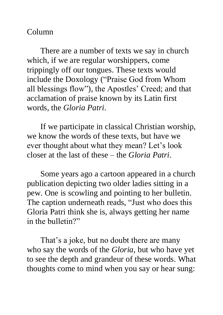## Column

There are a number of texts we say in church which, if we are regular worshippers, come trippingly off our tongues. These texts would include the Doxology ("Praise God from Whom all blessings flow"), the Apostles' Creed; and that acclamation of praise known by its Latin first words, the *Gloria Patri*.

If we participate in classical Christian worship, we know the words of these texts, but have we ever thought about what they mean? Let's look closer at the last of these – the *Gloria Patri*.

Some years ago a cartoon appeared in a church publication depicting two older ladies sitting in a pew. One is scowling and pointing to her bulletin. The caption underneath reads, "Just who does this Gloria Patri think she is, always getting her name in the bulletin?"

That's a joke, but no doubt there are many who say the words of the *Gloria*, but who have yet to see the depth and grandeur of these words. What thoughts come to mind when you say or hear sung: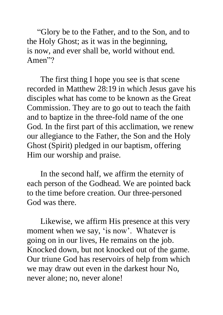"Glory be to the Father, and to the Son, and to the Holy Ghost; as it was in the beginning, is now, and ever shall be, world without end. Amen"?

The first thing I hope you see is that scene recorded in Matthew 28:19 in which Jesus gave his disciples what has come to be known as the Great Commission. They are to go out to teach the faith and to baptize in the three-fold name of the one God. In the first part of this acclimation, we renew our allegiance to the Father, the Son and the Holy Ghost (Spirit) pledged in our baptism, offering Him our worship and praise.

In the second half, we affirm the eternity of each person of the Godhead. We are pointed back to the time before creation. Our three-personed God was there.

Likewise, we affirm His presence at this very moment when we say, 'is now'. Whatever is going on in our lives, He remains on the job. Knocked down, but not knocked out of the game. Our triune God has reservoirs of help from which we may draw out even in the darkest hour No, never alone; no, never alone!